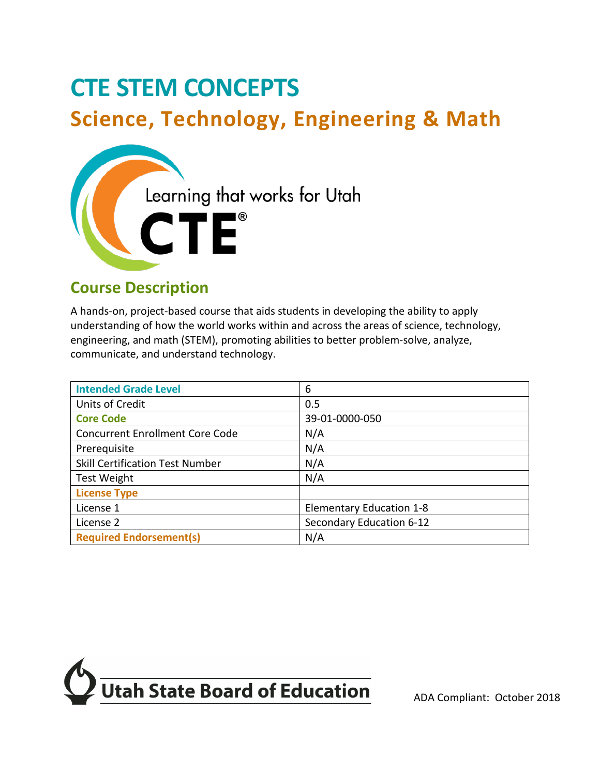# **CTE STEM CONCEPTS Science, Technology, Engineering & Math**



# **Course Description**

 A hands-on, project-based course that aids students in developing the ability to apply understanding of how the world works within and across the areas of science, technology, engineering, and math (STEM), promoting abilities to better problem-solve, analyze, communicate, and understand technology.

| <b>Intended Grade Level</b>            | 6                               |
|----------------------------------------|---------------------------------|
| Units of Credit                        | 0.5                             |
| <b>Core Code</b>                       | 39-01-0000-050                  |
| <b>Concurrent Enrollment Core Code</b> | N/A                             |
| Prerequisite                           | N/A                             |
| <b>Skill Certification Test Number</b> | N/A                             |
| <b>Test Weight</b>                     | N/A                             |
| <b>License Type</b>                    |                                 |
| License 1                              | <b>Elementary Education 1-8</b> |
| License 2                              | Secondary Education 6-12        |
| <b>Required Endorsement(s)</b>         | N/A                             |

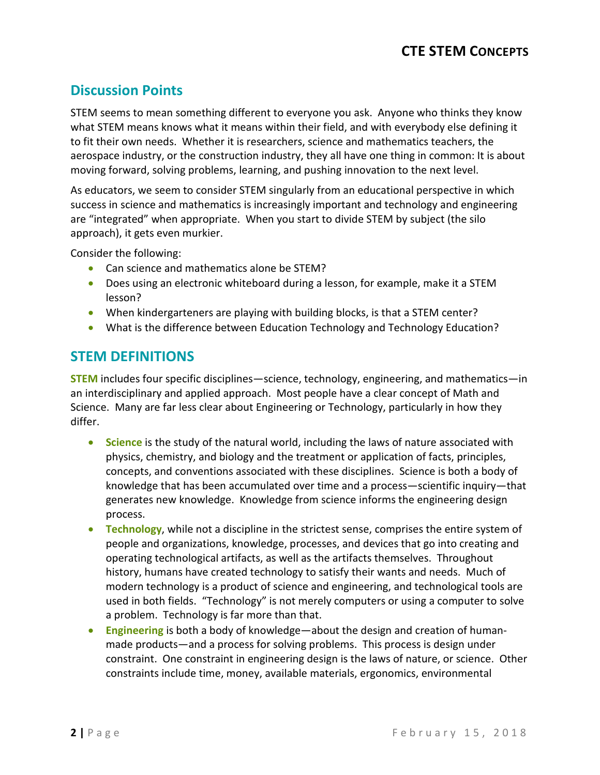# **Discussion Points**

 aerospace industry, or the construction industry, they all have one thing in common: It is about STEM seems to mean something different to everyone you ask. Anyone who thinks they know what STEM means knows what it means within their field, and with everybody else defining it to fit their own needs. Whether it is researchers, science and mathematics teachers, the moving forward, solving problems, learning, and pushing innovation to the next level.

As educators, we seem to consider STEM singularly from an educational perspective in which success in science and mathematics is increasingly important and technology and engineering are "integrated" when appropriate. When you start to divide STEM by subject (the silo approach), it gets even murkier.

Consider the following:

- Can science and mathematics alone be STEM?
- • Does using an electronic whiteboard during a lesson, for example, make it a STEM lesson?
- When kindergarteners are playing with building blocks, is that a STEM center?
- What is the difference between Education Technology and Technology Education?

## **STEM DEFINITIONS**

 an interdisciplinary and applied approach. Most people have a clear concept of Math and Science. Many are far less clear about Engineering or Technology, particularly in how they **STEM** includes four specific disciplines—science, technology, engineering, and mathematics—in differ.

- physics, chemistry, and biology and the treatment or application of facts, principles, concepts, and conventions associated with these disciplines. Science is both a body of generates new knowledge. Knowledge from science informs the engineering design • **Science** is the study of the natural world, including the laws of nature associated with knowledge that has been accumulated over time and a process—scientific inquiry—that process.
- operating technological artifacts, as well as the artifacts themselves. Throughout history, humans have created technology to satisfy their wants and needs. Much of used in both fields. "Technology" is not merely computers or using a computer to solve a problem. Technology is far more than that. • **Technology**, while not a discipline in the strictest sense, comprises the entire system of people and organizations, knowledge, processes, and devices that go into creating and modern technology is a product of science and engineering, and technological tools are
- made products—and a process for solving problems. This process is design under constraint. One constraint in engineering design is the laws of nature, or science. Other • **Engineering** is both a body of knowledge—about the design and creation of humanconstraints include time, money, available materials, ergonomics, environmental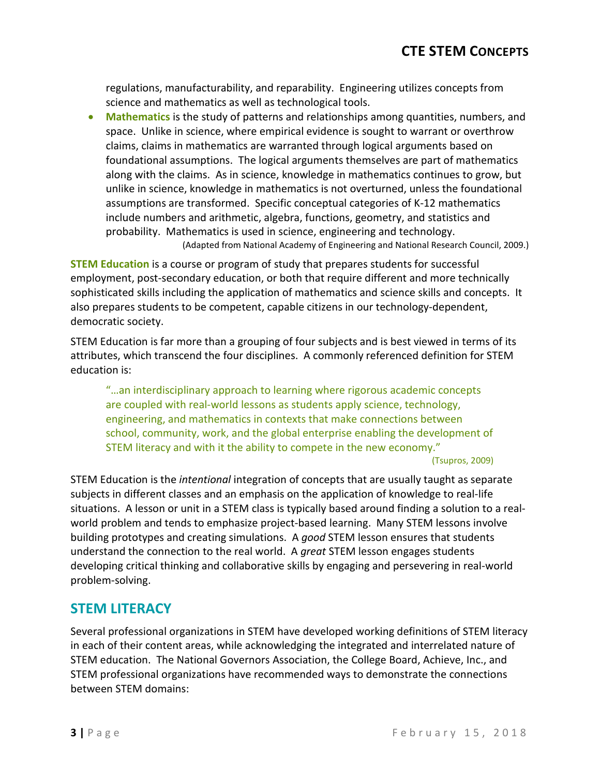regulations, manufacturability, and reparability. Engineering utilizes concepts from science and mathematics as well as technological tools.

 foundational assumptions. The logical arguments themselves are part of mathematics along with the claims. As in science, knowledge in mathematics continues to grow, but • **Mathematics** is the study of patterns and relationships among quantities, numbers, and space. Unlike in science, where empirical evidence is sought to warrant or overthrow claims, claims in mathematics are warranted through logical arguments based on unlike in science, knowledge in mathematics is not overturned, unless the foundational assumptions are transformed. Specific conceptual categories of K-12 mathematics include numbers and arithmetic, algebra, functions, geometry, and statistics and probability. Mathematics is used in science, engineering and technology. (Adapted from National Academy of Engineering and National Research Council, 2009.)

 **STEM Education** is a course or program of study that prepares students for successful employment, post-secondary education, or both that require different and more technically sophisticated skills including the application of mathematics and science skills and concepts. It also prepares students to be competent, capable citizens in our technology-dependent, democratic society.

 STEM Education is far more than a grouping of four subjects and is best viewed in terms of its attributes, which transcend the four disciplines. A commonly referenced definition for STEM education is:

"…an interdisciplinary approach to learning where rigorous academic concepts are coupled with real-world lessons as students apply science, technology, engineering, and mathematics in contexts that make connections between school, community, work, and the global enterprise enabling the development of STEM literacy and with it the ability to compete in the new economy."

(Tsupros, 2009)

 situations. A lesson or unit in a STEM class is typically based around finding a solution to a real- world problem and tends to emphasize project-based learning. Many STEM lessons involve building prototypes and creating simulations. A *good* STEM lesson ensures that students understand the connection to the real world. A *great* STEM lesson engages students STEM Education is the *intentional* integration of concepts that are usually taught as separate subjects in different classes and an emphasis on the application of knowledge to real-life developing critical thinking and collaborative skills by engaging and persevering in real-world problem-solving.

## **STEM LITERACY**

 in each of their content areas, while acknowledging the integrated and interrelated nature of Several professional organizations in STEM have developed working definitions of STEM literacy STEM education. The National Governors Association, the College Board, Achieve, Inc., and STEM professional organizations have recommended ways to demonstrate the connections between STEM domains: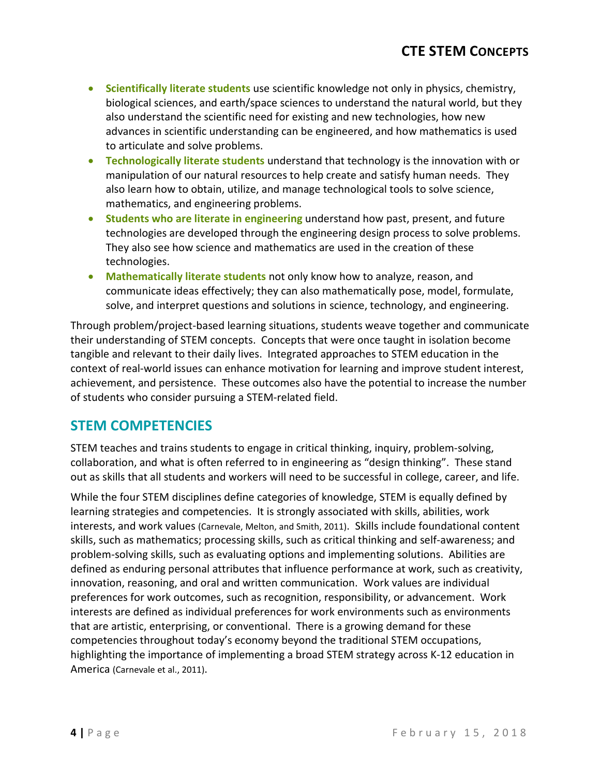- biological sciences, and earth/space sciences to understand the natural world, but they also understand the scientific need for existing and new technologies, how new • **Scientifically literate students** use scientific knowledge not only in physics, chemistry, advances in scientific understanding can be engineered, and how mathematics is used to articulate and solve problems.
- manipulation of our natural resources to help create and satisfy human needs. They • **Technologically literate students** understand that technology is the innovation with or also learn how to obtain, utilize, and manage technological tools to solve science, mathematics, and engineering problems.
- • **Students who are literate in engineering** understand how past, present, and future technologies are developed through the engineering design process to solve problems. They also see how science and mathematics are used in the creation of these technologies.
- • **Mathematically literate students** not only know how to analyze, reason, and communicate ideas effectively; they can also mathematically pose, model, formulate, solve, and interpret questions and solutions in science, technology, and engineering.

 their understanding of STEM concepts. Concepts that were once taught in isolation become tangible and relevant to their daily lives. Integrated approaches to STEM education in the achievement, and persistence. These outcomes also have the potential to increase the number Through problem/project-based learning situations, students weave together and communicate context of real-world issues can enhance motivation for learning and improve student interest, of students who consider pursuing a STEM-related field.

## **STEM COMPETENCIES**

STEM teaches and trains students to engage in critical thinking, inquiry, problem-solving, collaboration, and what is often referred to in engineering as "design thinking". These stand out as skills that all students and workers will need to be successful in college, career, and life.

 While the four STEM disciplines define categories of knowledge, STEM is equally defined by learning strategies and competencies. It is strongly associated with skills, abilities, work problem-solving skills, such as evaluating options and implementing solutions. Abilities are that are artistic, enterprising, or conventional. There is a growing demand for these interests, and work values (Carnevale, Melton, and Smith, 2011). Skills include foundational content skills, such as mathematics; processing skills, such as critical thinking and self-awareness; and defined as enduring personal attributes that influence performance at work, such as creativity, innovation, reasoning, and oral and written communication. Work values are individual preferences for work outcomes, such as recognition, responsibility, or advancement. Work interests are defined as individual preferences for work environments such as environments competencies throughout today's economy beyond the traditional STEM occupations, highlighting the importance of implementing a broad STEM strategy across K-12 education in America (Carnevale et al., 2011).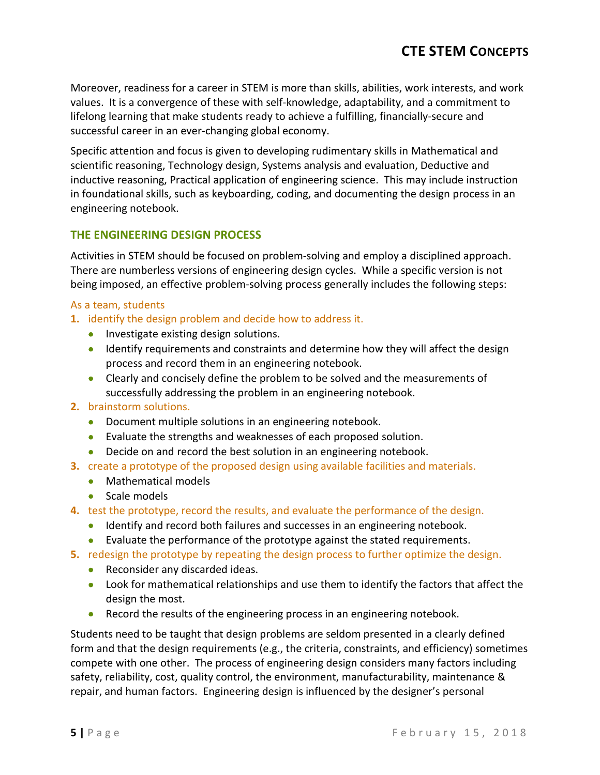values. It is a convergence of these with self-knowledge, adaptability, and a commitment to Moreover, readiness for a career in STEM is more than skills, abilities, work interests, and work lifelong learning that make students ready to achieve a fulfilling, financially-secure and successful career in an ever-changing global economy.

 inductive reasoning, Practical application of engineering science. This may include instruction Specific attention and focus is given to developing rudimentary skills in Mathematical and scientific reasoning, Technology design, Systems analysis and evaluation, Deductive and in foundational skills, such as keyboarding, coding, and documenting the design process in an engineering notebook.

#### **THE ENGINEERING DESIGN PROCESS**

Activities in STEM should be focused on problem-solving and employ a disciplined approach. Activities in STEM should be focused on problem-solving and employ a disciplined approach.<br>There are numberless versions of engineering design cycles. While a specific version is not being imposed, an effective problem-solving process generally includes the following steps:

#### As a team, students

- **1.** identify the design problem and decide how to address it.
	- Investigate existing design solutions.
	- • Identify requirements and constraints and determine how they will affect the design process and record them in an engineering notebook.
	- • Clearly and concisely define the problem to be solved and the measurements of successfully addressing the problem in an engineering notebook.

#### **2.** brainstorm solutions.

- Document multiple solutions in an engineering notebook.
- Evaluate the strengths and weaknesses of each proposed solution.
- Decide on and record the best solution in an engineering notebook.
- **3.** create a prototype of the proposed design using available facilities and materials.
	- Mathematical models
	- Scale models
- **4.** test the prototype, record the results, and evaluate the performance of the design.
	- Identify and record both failures and successes in an engineering notebook.
	- Evaluate the performance of the prototype against the stated requirements.
- **5.** redesign the prototype by repeating the design process to further optimize the design.
	- Reconsider any discarded ideas.
	- • Look for mathematical relationships and use them to identify the factors that affect the design the most.
	- Record the results of the engineering process in an engineering notebook.

 compete with one other. The process of engineering design considers many factors including Students need to be taught that design problems are seldom presented in a clearly defined form and that the design requirements (e.g., the criteria, constraints, and efficiency) sometimes safety, reliability, cost, quality control, the environment, manufacturability, maintenance & repair, and human factors. Engineering design is influenced by the designer's personal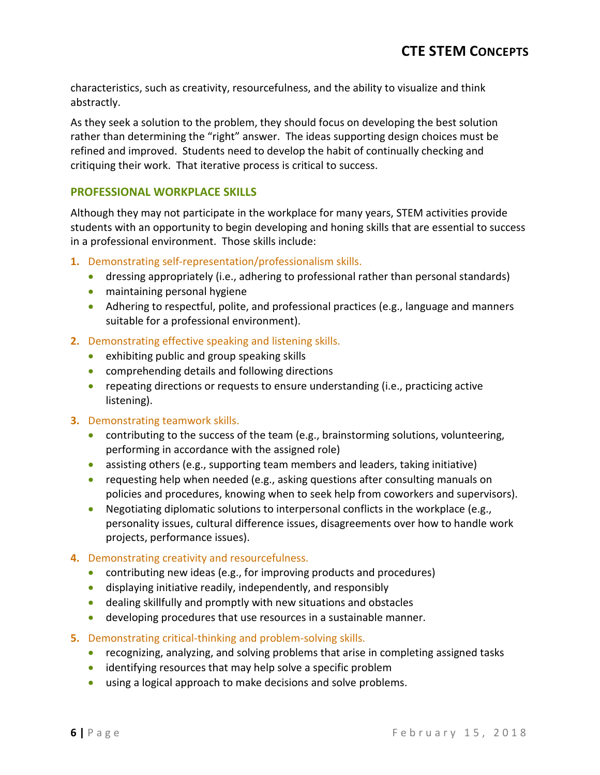characteristics, such as creativity, resourcefulness, and the ability to visualize and think abstractly.

 As they seek a solution to the problem, they should focus on developing the best solution rather than determining the "right" answer. The ideas supporting design choices must be refined and improved. Students need to develop the habit of continually checking and critiquing their work. That iterative process is critical to success.

#### **PROFESSIONAL WORKPLACE SKILLS**

 Although they may not participate in the workplace for many years, STEM activities provide in a professional environment. Those skills include: students with an opportunity to begin developing and honing skills that are essential to success

- **1.** Demonstrating self-representation/professionalism skills.
	- dressing appropriately (i.e., adhering to professional rather than personal standards)
	- maintaining personal hygiene
	- Adhering to respectful, polite, and professional practices (e.g., language and manners suitable for a professional environment).
- **2.** Demonstrating effective speaking and listening skills.
	- exhibiting public and group speaking skills
	- comprehending details and following directions
	- • repeating directions or requests to ensure understanding (i.e., practicing active listening).

#### **3.** Demonstrating teamwork skills.

- performing in accordance with the assigned role) • contributing to the success of the team (e.g., brainstorming solutions, volunteering,
- assisting others (e.g., supporting team members and leaders, taking initiative)
- requesting help when needed (e.g., asking questions after consulting manuals on policies and procedures, knowing when to seek help from coworkers and supervisors).
- • Negotiating diplomatic solutions to interpersonal conflicts in the workplace (e.g., personality issues, cultural difference issues, disagreements over how to handle work projects, performance issues).

#### **4.** Demonstrating creativity and resourcefulness.

- contributing new ideas (e.g., for improving products and procedures)
- displaying initiative readily, independently, and responsibly
- dealing skillfully and promptly with new situations and obstacles
- developing procedures that use resources in a sustainable manner.
- **5.** Demonstrating critical-thinking and problem-solving skills.
	- recognizing, analyzing, and solving problems that arise in completing assigned tasks
	- identifying resources that may help solve a specific problem
	- using a logical approach to make decisions and solve problems.